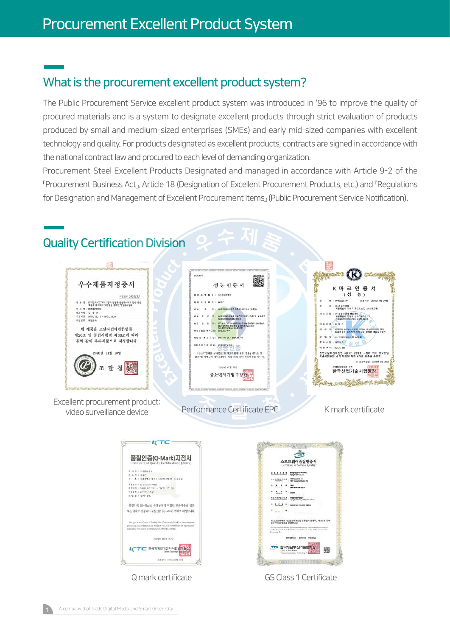## What is the procurement excellent product system?

The Public Procurement Service excellent product system was introduced in '96 to improve the quality of procured materials and is a system to designate excellent products through strict evaluation of products produced by small and medium-sized enterprises (SMEs) and early mid-sized companies with excellent technology and quality. For products designated as excellent products, contracts are signed in accordance with the national contract law and procured to each level of demanding organization.

Procurement Steel Excellent Products Designated and managed in accordance with Article 9-2 of the 「Procurement Business Act」, Article 18 (Designation of Excellent Procurement Products, etc.) and 『Regulations for Designation and Management of Excellent Procurement Items』 (Public Procurement Service Notification).



Q mark certificate GS Class 1 Certificate